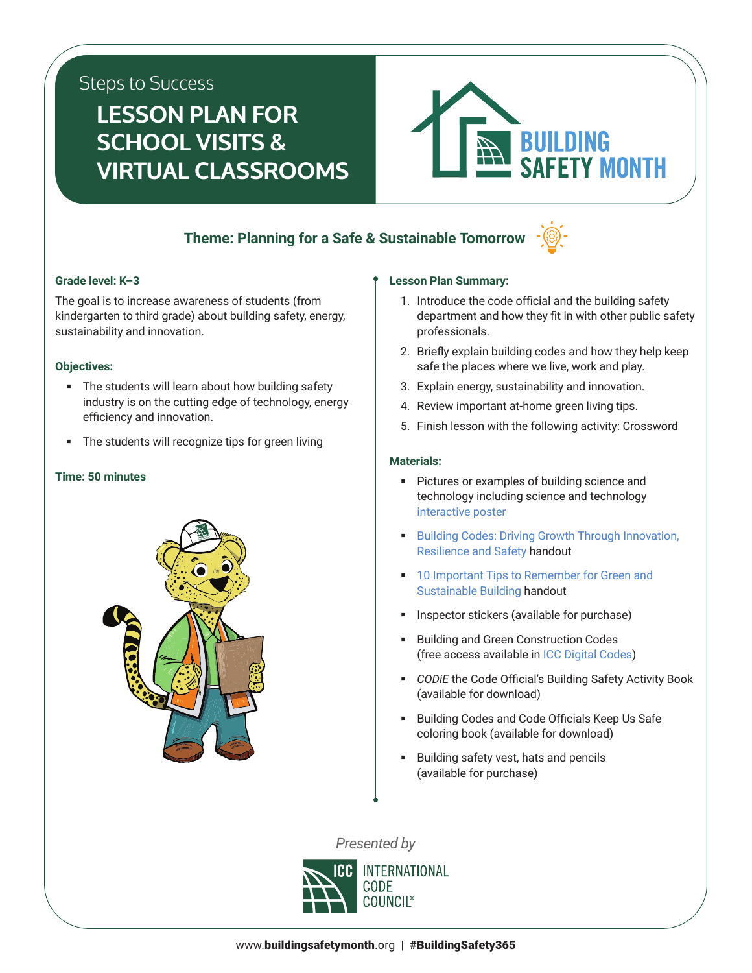# Steps to Success

# **LESSON PLAN FOR SCHOOL VISITS & VIRTUAL CLASSROOMS**



## **Theme: Planning for a Safe & Sustainable Tomorrow**



### **Grade level: K–3**

The goal is to increase awareness of students (from kindergarten to third grade) about building safety, energy, sustainability and innovation.

### **Objectives:**

- The students will learn about how building safety industry is on the cutting edge of technology, energy efficiency and innovation.
- The students will recognize tips for green living

### **Time: 50 minutes**



## **Lesson Plan Summary:**

- 1. Introduce the code official and the building safety department and how they fit in with other public safety professionals.
- 2. Briefly explain building codes and how they help keep safe the places where we live, work and play.
- 3. Explain energy, sustainability and innovation.
- 4. Review important at-home green living tips.
- 5. Finish lesson with the following activity: Crossword

### **Materials:**

- **Pictures or examples of building science and** technology including science and technology [interactive poster](http://media.iccsafe.org/BSM-posters/week3/)
- **Building Codes: Driving Growth Through Innovation,** [Resilience and Safety](https://cdn-web.iccsafe.org/wp-content/uploads/Driving_Growth_Infographic_pdf_hires.pdf) handout
- **10 Important Tips to Remember for Green and** [Sustainable Building](https://www.iccsafe.org/wp-content/uploads/BSM_10_Green_Safety_Tips.pdf) handout
- Inspector stickers (available for purchase)
- Building and Green Construction Codes (free access available in [ICC Digital Codes\)](https://codes.iccsafe.org/)
- *CODiE* the Code Official's Building Safety Activity Book (available for download)
- Building Codes and Code Officials Keep Us Safe coloring book (available for download)
- **Building safety vest, hats and pencils** (available for purchase)

*Presented by*